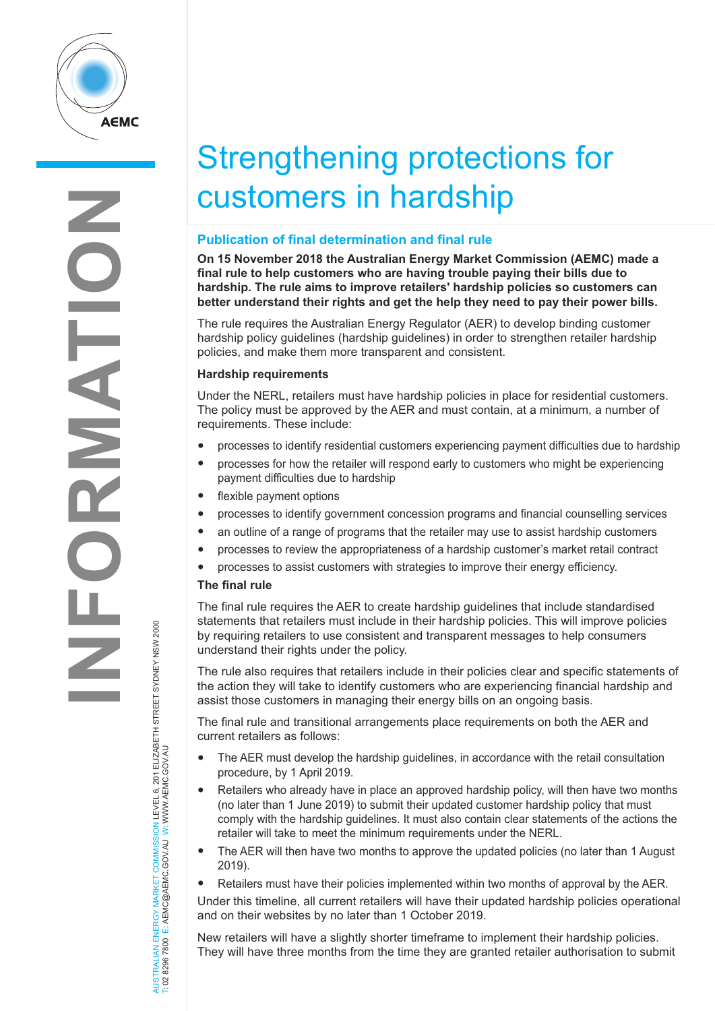

# Strengthening protections for customers in hardship

# **Publication of final determination and final rule**

**On 15 November 2018 the Australian Energy Market Commission (AEMC) made a final rule to help customers who are having trouble paying their bills due to hardship. The rule aims to improve retailers' hardship policies so customers can better understand their rights and get the help they need to pay their power bills.** 

The rule requires the Australian Energy Regulator (AER) to develop binding customer hardship policy guidelines (hardship guidelines) in order to strengthen retailer hardship policies, and make them more transparent and consistent.

# **Hardship requirements**

Under the NERL, retailers must have hardship policies in place for residential customers. The policy must be approved by the AER and must contain, at a minimum, a number of requirements. These include:

- processes to identify residential customers experiencing payment difficulties due to hardship
- processes for how the retailer will respond early to customers who might be experiencing payment difficulties due to hardship
- flexible payment options
- processes to identify government concession programs and financial counselling services
- an outline of a range of programs that the retailer may use to assist hardship customers
- processes to review the appropriateness of a hardship customer's market retail contract
- processes to assist customers with strategies to improve their energy efficiency.

## **The final rule**

The final rule requires the AER to create hardship guidelines that include standardised statements that retailers must include in their hardship policies. This will improve policies by requiring retailers to use consistent and transparent messages to help consumers understand their rights under the policy.

The rule also requires that retailers include in their policies clear and specific statements of the action they will take to identify customers who are experiencing financial hardship and assist those customers in managing their energy bills on an ongoing basis.

The final rule and transitional arrangements place requirements on both the AER and current retailers as follows:

- The AER must develop the hardship guidelines, in accordance with the retail consultation procedure, by 1 April 2019.
- Retailers who already have in place an approved hardship policy, will then have two months (no later than 1 June 2019) to submit their updated customer hardship policy that must comply with the hardship guidelines. It must also contain clear statements of the actions the retailer will take to meet the minimum requirements under the NERL.
- The AER will then have two months to approve the updated policies (no later than 1 August 2019).
- Retailers must have their policies implemented within two months of approval by the AER.
- Under this timeline, all current retailers will have their updated hardship policies operational and on their websites by no later than 1 October 2019.

New retailers will have a slightly shorter timeframe to implement their hardship policies. They will have three months from the time they are granted retailer authorisation to submit

AUSTRALIAN ENERGY MARKET COMMISSION LEVEL 6, 201 ELIZABETH STREET SYDNEY NSW 2000<br>T: 02 8296 7800 E: AEMC@AEMC.GOVJAU W: WWW.AEMC.GOVJAU AUSTRALIAN ENERGY MARKET COMMISSION LEVEL 6, 201 ELIZABETH STREET SYDNEY NSW 2000 T: 02 8296 7800 E: AEMC@AEMC.GOV.AU W: WWW.AEMC.GOV.AU